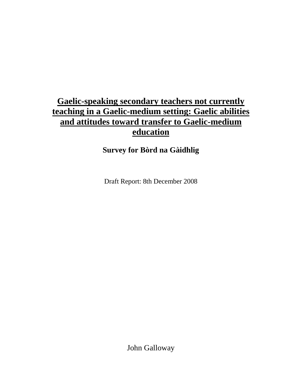# **Gaelic-speaking secondary teachers not currently teaching in a Gaelic-medium setting: Gaelic abilities and attitudes toward transfer to Gaelic-medium education**

## **Survey for Bòrd na Gàidhlig**

Draft Report: 8th December 2008

John Galloway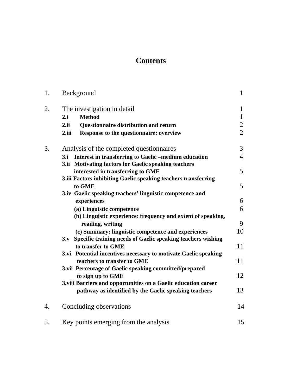# **Contents**

| 1. | Background                                                           | $\mathbf{1}$   |
|----|----------------------------------------------------------------------|----------------|
| 2. | The investigation in detail                                          | $\mathbf{1}$   |
|    | <b>Method</b><br>2.i                                                 | $\mathbf{1}$   |
|    | 2.ii<br>Questionnaire distribution and return                        | $\overline{2}$ |
|    | Response to the questionnaire: overview<br>2.iii                     | $\overline{2}$ |
| 3. | Analysis of the completed questionnaires                             | 3              |
|    | Interest in transferring to Gaelic -medium education<br>3.i          | $\overline{4}$ |
|    | 3.ii Motivating factors for Gaelic speaking teachers                 |                |
|    | interested in transferring to GME                                    | 5              |
|    | 3.iii Factors inhibiting Gaelic speaking teachers transferring       |                |
|    | to GME                                                               | 5              |
|    | 3.iv Gaelic speaking teachers' linguistic competence and             |                |
|    | experiences                                                          | 6              |
|    | (a) Linguistic competence                                            | 6              |
|    | (b) Linguistic experience: frequency and extent of speaking,         |                |
|    | reading, writing                                                     | 9              |
|    | (c) Summary: linguistic competence and experiences                   | 10             |
|    | Specific training needs of Gaelic speaking teachers wishing<br>$3_v$ |                |
|    | to transfer to GME                                                   | 11             |
|    | 3.vi Potential incentives necessary to motivate Gaelic speaking      |                |
|    | teachers to transfer to GME                                          | 11             |
|    | 3.vii Percentage of Gaelic speaking committed/prepared               |                |
|    | to sign up to GME                                                    | 12             |
|    | 3.viii Barriers and opportunities on a Gaelic education career       |                |
|    | pathway as identified by the Gaelic speaking teachers                | 13             |
| 4. | Concluding observations                                              | 14             |
| 5. | Key points emerging from the analysis                                | 15             |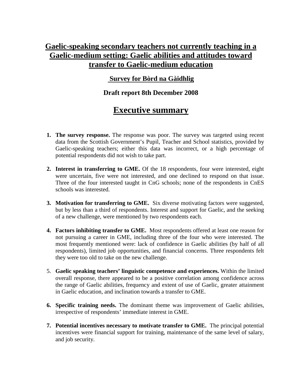## **Gaelic-speaking secondary teachers not currently teaching in a Gaelic-medium setting: Gaelic abilities and attitudes toward transfer to Gaelic-medium education**

## **Survey for Bòrd na Gàidhlig**

## **Draft report 8th December 2008**

# **Executive summary**

- **1. The survey response.** The response was poor. The survey was targeted using recent data from the Scottish Government's Pupil, Teacher and School statistics, provided by Gaelic-speaking teachers; either this data was incorrect, or a high percentage of potential respondents did not wish to take part.
- **2. Interest in transferring to GME.** Of the 18 respondents, four were interested, eight were uncertain, five were not interested, and one declined to respond on that issue. Three of the four interested taught in CnG schools; none of the respondents in CnES schools was interested.
- **3. Motivation for transferring to GME.** Six diverse motivating factors were suggested, but by less than a third of respondents. Interest and support for Gaelic, and the seeking of a new challenge, were mentioned by two respondents each.
- **4. Factors inhibiting transfer to GME.** Most respondents offered at least one reason for not pursuing a career in GME, including three of the four who were interested. The most frequently mentioned were: lack of confidence in Gaelic abilities (by half of all respondents), limited job opportunities, and financial concerns. Three respondents felt they were too old to take on the new challenge.
- 5. **Gaelic speaking teachers' linguistic competence and experiences.** Within the limited overall response, there appeared to be a positive correlation among confidence across the range of Gaelic abilities, frequency and extent of use of Gaelic, greater attainment in Gaelic education, and inclination towards a transfer to GME.
- **6. Specific training needs.** The dominant theme was improvement of Gaelic abilities, irrespective of respondents' immediate interest in GME.
- **7. Potential incentives necessary to motivate transfer to GME.** The principal potential incentives were financial support for training, maintenance of the same level of salary, and job security.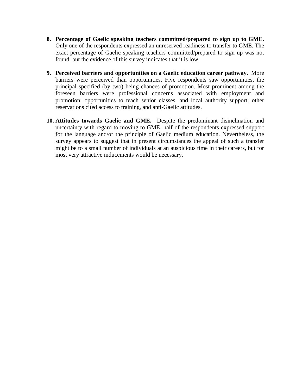- **8. Percentage of Gaelic speaking teachers committed/prepared to sign up to GME.**  Only one of the respondents expressed an unreserved readiness to transfer to GME. The exact percentage of Gaelic speaking teachers committed/prepared to sign up was not found, but the evidence of this survey indicates that it is low.
- **9. Perceived barriers and opportunities on a Gaelic education career pathway.** More barriers were perceived than opportunities. Five respondents saw opportunities, the principal specified (by two) being chances of promotion. Most prominent among the foreseen barriers were professional concerns associated with employment and promotion, opportunities to teach senior classes, and local authority support; other reservations cited access to training, and anti-Gaelic attitudes.
- **10. Attitudes towards Gaelic and GME.** Despite the predominant disinclination and uncertainty with regard to moving to GME, half of the respondents expressed support for the language and/or the principle of Gaelic medium education. Nevertheless, the survey appears to suggest that in present circumstances the appeal of such a transfer might be to a small number of individuals at an auspicious time in their careers, but for most very attractive inducements would be necessary.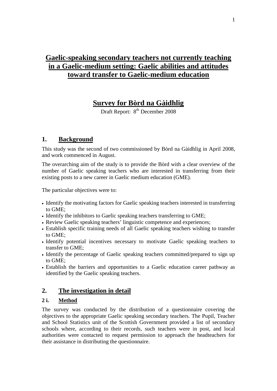# **Gaelic-speaking secondary teachers not currently teaching in a Gaelic-medium setting: Gaelic abilities and attitudes toward transfer to Gaelic-medium education**

## **Survey for Bòrd na Gàidhlig**

Draft Report: 8<sup>th</sup> December 2008

## **1. Background**

This study was the second of two commissioned by Bòrd na Gàidhlig in April 2008, and work commenced in August.

The overarching aim of the study is to provide the Bòrd with a clear overview of the number of Gaelic speaking teachers who are interested in transferring from their existing posts to a new career in Gaelic medium education (GME).

The particular objectives were to:

- Identify the motivating factors for Gaelic speaking teachers interested in transferring to GME;
- Identify the inhibitors to Gaelic speaking teachers transferring to GME;
- Review Gaelic speaking teachers' linguistic competence and experiences;
- Establish specific training needs of all Gaelic speaking teachers wishing to transfer to GME;
- Identify potential incentives necessary to motivate Gaelic speaking teachers to transfer to GME;
- Identify the percentage of Gaelic speaking teachers committed/prepared to sign up to GME;
- Establish the barriers and opportunities to a Gaelic education career pathway as identified by the Gaelic speaking teachers.

## **2. The investigation in detail**

#### **2 i. Method**

The survey was conducted by the distribution of a questionnaire covering the objectives to the appropriate Gaelic speaking secondary teachers. The Pupil, Teacher and School Statistics unit of the Scottish Government provided a list of secondary schools where, according to their records, such teachers were in post, and local authorities were contacted to request permission to approach the headteachers for their assistance in distributing the questionnaire.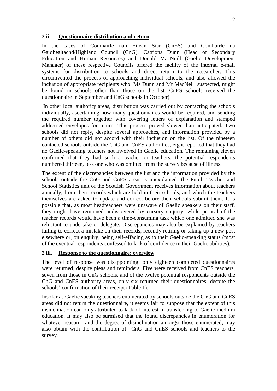#### **2 ii. Questionnaire distribution and return**

In the cases of Comhairle nan Eilean Siar (CnES) and Comhairle na Gaidhealtachd/Highland Council (CnG), Catriona Dunn (Head of Secondary Education and Human Resources) and Donald MacNeill (Gaelic Development Manager) of these respective Councils offered the facility of the internal e-mail systems for distribution to schools and direct return to the researcher. This circumvented the process of approaching individual schools, and also allowed the inclusion of appropriate recipients who, Ms Dunn and Mr MacNeill suspected, might be found in schools other than those on the list. CnES schools received the questionnaire in September and CnG schools in October).

In other local authority areas, distribution was carried out by contacting the schools individually, ascertaining how many questionnaires would be required, and sending the required number together with covering letters of explanation and stamped addressed envelopes for return. This process proved slower than anticipated. Two schools did not reply, despite several approaches, and information provided by a number of others did not accord with their inclusion on the list. Of the nineteen contacted schools outside the CnG and CnES authorities, eight reported that they had no Gaelic-speaking teachers not involved in Gaelic education. The remaining eleven confirmed that they had such a teacher or teachers: the potential respondents numbered thirteen, less one who was omitted from the survey because of illness.

The extent of the discrepancies between the list and the information provided by the schools outside the CnG and CnES areas is unexplained: the Pupil, Teacher and School Statistics unit of the Scottish Government receives information about teachers annually, from their records which are held in their schools, and which the teachers themselves are asked to update and correct before their schools submit them. It is possible that, as most headteachers were unaware of Gaelic speakers on their staff, they might have remained undiscovered by cursory enquiry, while perusal of the teacher records would have been a time-consuming task which one admitted she was reluctant to undertake or delegate. Discrepancies may also be explained by teachers failing to correct a mistake on their records, recently retiring or taking up a new post elsewhere or, on enquiry, being self-effacing as to their Gaelic-speaking status (most of the eventual respondents confessed to lack of confidence in their Gaelic abilities).

#### **2 iii. Response to the questionnaire: overview**

The level of response was disappointing: only eighteen completed questionnaires were returned, despite pleas and reminders. Five were received from CnES teachers, seven from those in CnG schools, and of the twelve potential respondents outside the CnG and CnES authority areas, only six returned their questionnaires, despite the schools' confirmation of their receipt (Table 1).

Insofar as Gaelic speaking teachers enumerated by schools outside the CnG and CnES areas did not return the questionnaire, it seems fair to suppose that the extent of this disinclination can only attributed to lack of interest in transferring to Gaelic-medium education. It may also be surmised that the found discrepancies in enumeration for whatever reason - and the degree of disinclination amongst those enumerated, may also obtain with the contribution of CnG and CnES schools and teachers to the survey.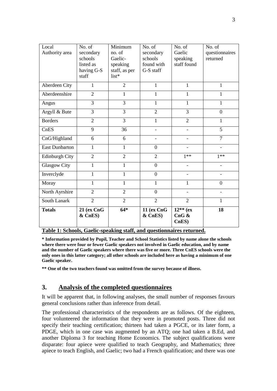| Local                 | No. of                | Minimum        | No. of                | No. of                         | No. of           |
|-----------------------|-----------------------|----------------|-----------------------|--------------------------------|------------------|
| Authority area        | secondary             | no. of         | secondary             | Gaelic                         | questionnaires   |
|                       | schools               | Gaelic-        | schools               | speaking                       | returned         |
|                       | listed as             | speaking       | found with            | staff found                    |                  |
|                       | having G-S            | staff, as per  | G-S staff             |                                |                  |
|                       | staff                 | list*          |                       |                                |                  |
| Aberdeen City         | 1                     | $\overline{2}$ | $\mathbf{1}$          | $\mathbf{1}$                   | $\mathbf{1}$     |
| Aberdeenshire         | $\overline{2}$        | $\mathbf{1}$   | $\mathbf{1}$          | $\mathbf{1}$                   | $\mathbf{1}$     |
| Angus                 | 3                     | $\overline{3}$ | $\mathbf{1}$          | $\mathbf{1}$                   | $\mathbf{1}$     |
| Argyll & Bute         | $\overline{3}$        | $\overline{3}$ | $\overline{2}$        | 3                              | $\overline{0}$   |
| <b>Borders</b>        | $\overline{2}$        | 3              | $\mathbf{1}$          | $\overline{2}$                 | $\mathbf{1}$     |
| CnES                  | 9                     | 36             |                       |                                | 5                |
| CnG/Highland          | 6                     | 6              |                       | $\overline{\phantom{0}}$       | $\overline{7}$   |
| <b>East Dunbarton</b> | $\mathbf{1}$          | $\mathbf{1}$   | $\mathbf{0}$          |                                |                  |
| Edinburgh City        | $\overline{2}$        | $\overline{2}$ | $\overline{2}$        | $1**$                          | $1**$            |
| <b>Glasgow City</b>   | 1                     | 1              | $\overline{0}$        |                                |                  |
| Inverclyde            | 1                     | $\mathbf{1}$   | $\overline{0}$        |                                |                  |
| Moray                 | $\mathbf{1}$          | $\mathbf{1}$   | $\mathbf{1}$          | $\mathbf{1}$                   | $\boldsymbol{0}$ |
| North Ayrshire        | $\overline{2}$        | $\overline{2}$ | $\overline{0}$        |                                |                  |
| South Lanark          | $\overline{2}$        | $\overline{2}$ | $\overline{2}$        | $\overline{2}$                 | $\mathbf{1}$     |
| <b>Totals</b>         | 21 (ex CnG<br>& CnES) | $64*$          | 11 (ex CnG<br>& CnES) | $12**$ (ex<br>$CnG$ &<br>CnES) | 18               |

**Table 1: Schools, Gaelic-speaking staff, and questionnaires returned.** 

**\* Information provided by Pupil, Teacher and School Statistics listed by name alone the schools where there were four or fewer Gaelic speakers not involved in Gaelic education, and by name and the number of Gaelic speakers where there was five or more. Three CnES schools were the only ones in this latter category; all other schools are included here as having a minimum of one Gaelic speaker.**

**\*\* One of the two teachers found was omitted from the survey because of illness.**

### **3. Analysis of the completed questionnaires**

It will be apparent that, in following analyses, the small number of responses favours general conclusions rather than inference from detail.

The professional characteristics of the respondents are as follows. Of the eighteen, four volunteered the information that they were in promoted posts. Three did not specify their teaching certification; thirteen had taken a PGCE, or its later form, a PDGE, which in one case was augmented by an ATQ; one had taken a B.Ed, and another Diploma 3 for teaching Home Economics. The subject qualifications were disparate: four apiece were qualified to teach Geography, and Mathematics; three apiece to teach English, and Gaelic; two had a French qualification; and there was one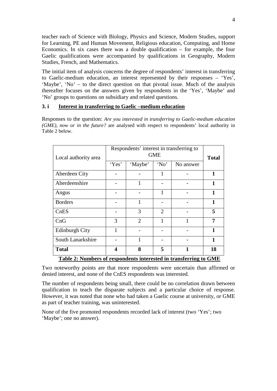teacher each of Science with Biology, Physics and Science, Modern Studies, support for Learning, PE and Human Movement, Religious education, Computing, and Home Economics. In six cases there was a double qualification – for example, the four Gaelic qualifications were accompanied by qualifications in Geography, Modern Studies, French, and Mathematics.

The initial item of analysis concerns the degree of respondents' interest in transferring to Gaelic-medium education, an interest represented by their responses – 'Yes', 'Maybe', 'No' – to the direct question on that pivotal issue. Much of the analysis thereafter focuses on the answers given by respondents in the 'Yes', 'Maybe' and 'No' groups to questions on subsidiary and related questions.

#### **3. i Interest in transferring to Gaelic –medium education**

Responses to the question: *Are you interested in transferring to Gaelic-medium education (GME), now or in the future?* are analysed with respect to respondents' local authority in Table 2 below.

| Local authority area                                              | Respondents' interest in transferring to | <b>Total</b>   |      |           |              |  |  |
|-------------------------------------------------------------------|------------------------------------------|----------------|------|-----------|--------------|--|--|
|                                                                   | 'Yes'                                    | 'Maybe'        | 'No' | No answer |              |  |  |
| Aberdeen City                                                     |                                          |                | 1    |           | $\mathbf{1}$ |  |  |
| Aberdeenshire                                                     |                                          | $\mathbf{1}$   |      |           | $\mathbf{1}$ |  |  |
| Angus                                                             |                                          |                | 1    |           | 1            |  |  |
| <b>Borders</b>                                                    |                                          | 1              |      |           | 1            |  |  |
| ChES                                                              |                                          | 3              | 2    |           | 5            |  |  |
| CnG                                                               | 3                                        | $\overline{2}$ | 1    |           | 7            |  |  |
| <b>Edinburgh City</b>                                             | 1                                        |                |      |           | $\mathbf{1}$ |  |  |
| South Lanarkshire                                                 |                                          | 1              |      |           | $\mathbf{1}$ |  |  |
| <b>Total</b>                                                      | 4                                        | 8              | 5    | 1         | 18           |  |  |
| Table 2: Numbers of respondents interested in transferring to GME |                                          |                |      |           |              |  |  |

Two noteworthy points are that more respondents were uncertain than affirmed or denied interest, and none of the CnES respondents was interested.

The number of respondents being small, there could be no correlation drawn between qualification to teach the disparate subjects and a particular choice of response. However, it was noted that none who had taken a Gaelic course at university, or GME as part of teacher training, was uninterested.

None of the five promoted respondents recorded lack of interest (two 'Yes'; two 'Maybe'; one no answer).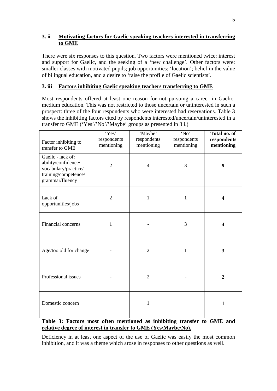#### **3. ii Motivating factors for Gaelic speaking teachers interested in transferring to GME**

There were six responses to this question. Two factors were mentioned twice: interest and support for Gaelic, and the seeking of a 'new challenge'. Other factors were: smaller classes with motivated pupils; job opportunities; 'location'; belief in the value of bilingual education, and a desire to 'raise the profile of Gaelic scientists'.

### **3. iii Factors inhibiting Gaelic speaking teachers transferring to GME**

Most respondents offered at least one reason for not pursuing a career in Gaelicmedium education. This was not restricted to those uncertain or uninterested in such a prospect: three of the four respondents who were interested had reservations. Table 3 shows the inhibiting factors cited by respondents interested/uncertain/uninterested in a transfer to GME ('Yes'/'No'/'Maybe' groups as presented in 3 i.)

| Factor inhibiting to<br>transfer to GME                                                                     | 'Yes'<br>respondents<br>mentioning | 'Maybe'<br>respondents<br>mentioning | $\overline{N_0}$<br>respondents<br>mentioning | Total no. of<br>respondents<br>mentioning |
|-------------------------------------------------------------------------------------------------------------|------------------------------------|--------------------------------------|-----------------------------------------------|-------------------------------------------|
| Gaelic - lack of:<br>ability/confidence/<br>vocabulary/practice/<br>training/competence/<br>grammar/fluency | $\overline{2}$                     | $\overline{4}$                       | 3                                             | 9                                         |
| Lack of<br>opportunities/jobs                                                                               | $\overline{2}$                     | $\mathbf{1}$                         | 1                                             | 4                                         |
| Financial concerns                                                                                          | $\mathbf{1}$                       |                                      | 3                                             | 4                                         |
| Age/too old for change                                                                                      |                                    | $\sqrt{2}$                           | $\mathbf{1}$                                  | 3                                         |
| Professional issues                                                                                         |                                    | $\overline{2}$                       |                                               | $\overline{2}$                            |
| Domestic concern                                                                                            |                                    | $\mathbf{1}$                         |                                               | $\mathbf{1}$                              |

#### **Table 3: Factors most often mentioned as inhibiting transfer to GME and relative degree of interest in transfer to GME (Yes/Maybe/No).**

Deficiency in at least one aspect of the use of Gaelic was easily the most common inhibition, and it was a theme which arose in responses to other questions as well.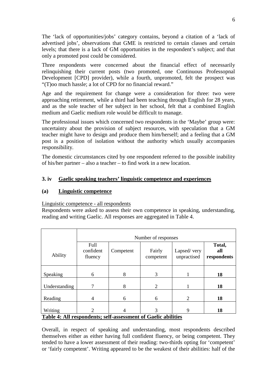The 'lack of opportunities/jobs' category contains, beyond a citation of a 'lack of advertised jobs', observations that GME is restricted to certain classes and certain levels; that there is a lack of GM opportunities in the respondent's subject; and that only a promoted post could be considered.

Three respondents were concerned about the financial effect of necessarily relinquishing their current posts (two promoted, one Continuous Professopnal Development [CPD] provider), while a fourth, unpromoted, felt the prospect was "(T)oo much hassle; a lot of CPD for no financial reward."

Age and the requirement for change were a consideration for three: two were approaching retirement, while a third had been teaching through English for 28 years, and as the sole teacher of her subject in her school, felt that a combined English medium and Gaelic medium role would be difficult to manage.

The professional issues which concerned two respondents in the 'Maybe' group were: uncertainty about the provision of subject resources, with speculation that a GM teacher might have to design and produce them him/herself; and a feeling that a GM post is a position of isolation without the authority which usually accompanies responsibility.

The domestic circumstances cited by one respondent referred to the possible inability of his/her partner – also a teacher – to find work in a new location.

#### **3. iv Gaelic speaking teachers' linguistic competence and experiences**

#### **(a) Linguistic competence**

Linguistic competence - all respondents

Respondents were asked to assess their own competence in speaking, understanding, reading and writing Gaelic. All responses are aggregated in Table 4.

|                                                                          | Number of responses          |           |                     |                            |                              |  |
|--------------------------------------------------------------------------|------------------------------|-----------|---------------------|----------------------------|------------------------------|--|
| Ability                                                                  | Full<br>confident<br>fluency | Competent | Fairly<br>competent | Lapsed/very<br>unpractised | Total,<br>all<br>respondents |  |
| Speaking                                                                 | 6                            | 8         | 3                   |                            | 18                           |  |
| Understanding                                                            |                              | 8         | $\overline{2}$      |                            | 18                           |  |
| Reading                                                                  | 4                            | 6         | 6                   | $\overline{2}$             | 18                           |  |
| Writing<br>Table 4: All respondents; self-assessment of Gaelic abilities |                              | 4         | 3                   | 9                          | 18                           |  |

Overall, in respect of speaking and understanding, most respondents described themselves either as either having full confident fluency, or being competent. They tended to have a lower assessment of their reading: two-thirds opting for 'competent' or 'fairly competent'. Writing appeared to be the weakest of their abilities: half of the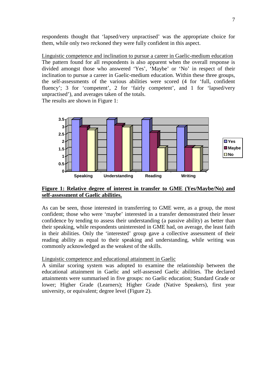respondents thought that 'lapsed/very unpractised' was the appropriate choice for them, while only two reckoned they were fully confident in this aspect.

Linguistic competence and inclination to pursue a career in Gaelic-medium education The pattern found for all respondents is also apparent when the overall response is divided amongst those who answered 'Yes', 'Maybe' or 'No' in respect of their inclination to pursue a career in Gaelic-medium education. Within these three groups, the self-assessments of the various abilities were scored (4 for 'full, confident fluency'; 3 for 'competent', 2 for 'fairly competent', and 1 for 'lapsed/very unpractised'), and averages taken of the totals.

The results are shown in Figure 1:



#### **Figure 1: Relative degree of interest in transfer to GME (Yes/Maybe/No) and self-assessment of Gaelic abilities.**

As can be seen, those interested in transferring to GME were, as a group, the most confident; those who were 'maybe' interested in a transfer demonstrated their lesser confidence by tending to assess their understanding (a passive ability) as better than their speaking, while respondents uninterested in GME had, on average, the least faith in their abilities. Only the 'interested' group gave a collective assessment of their reading ability as equal to their speaking and understanding, while writing was commonly acknowledged as the weakest of the skills.

Linguistic competence and educational attainment in Gaelic

A similar scoring system was adopted to examine the relationship between the educational attainment in Gaelic and self-assessed Gaelic abilities. The declared attainments were summarised in five groups: no Gaelic education; Standard Grade or lower; Higher Grade (Learners); Higher Grade (Native Speakers), first year university, or equivalent; degree level (Figure 2).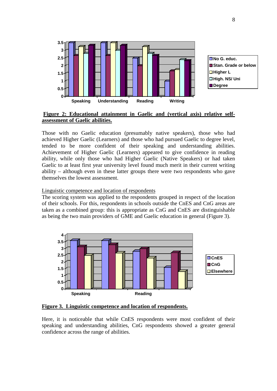

#### **Figure 2: Educational attainment in Gaelic and (vertical axis) relative selfassessment of Gaelic abilities.**

Those with no Gaelic education (presumably native speakers), those who had achieved Higher Gaelic (Learners) and those who had pursued Gaelic to degree level, tended to be more confident of their speaking and understanding abilities. Achievement of Higher Gaelic (Learners) appeared to give confidence in reading ability, while only those who had Higher Gaelic (Native Speakers) or had taken Gaelic to at least first year university level found much merit in their current writing ability – although even in these latter groups there were two respondents who gave themselves the lowest assessment.

#### Linguistic competence and location of respondents

The scoring system was applied to the respondents grouped in respect of the location of their schools. For this, respondents in schools outside the CnES and CnG areas are taken as a combined group: this is appropriate as CnG and CnES are distinguishable as being the two main providers of GME and Gaelic education in general (Figure 3).



**Figure 3. Linguistic competence and location of respondents.**

Here, it is noticeable that while CnES respondents were most confident of their speaking and understanding abilities, CnG respondents showed a greater general confidence across the range of abilities.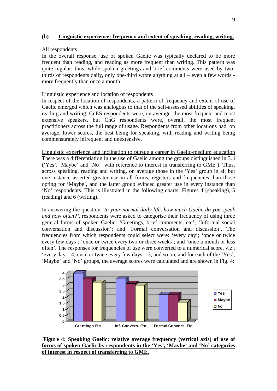#### **(b) Linguistic experience: frequency and extent of speaking, reading, writing.**

#### All respondents

In the overall response, use of spoken Gaelic was typically declared to be more frequent than reading, and reading as more frequent than writing. This pattern was quite regular: thus, while spoken greetings and brief comments were used by twothirds of respondents daily, only one-third wrote anything at all – even a few words more frequently than once a month.

#### Linguistic experience and location of respondents

In respect of the location of respondents, a pattern of frequency and extent of use of Gaelic emerged which was analogous to that of the self-assessed abilities of speaking, reading and writing: CnES respondents were, on average, the most frequent and most extensive speakers, but CnG respondents were, overall, the most frequent practitioners across the full range of usage. Respondents from other locations had, on average, lower scores, the best being for speaking, with reading and writing being commensurately infrequent and unextensive.

Linguistic experience and inclination to pursue a career in Gaelic-medium education There was a differentiation in the use of Gaelic among the groups distinguished in 3. i ('Yes', 'Maybe' and 'No' with reference to interest in transferring to GME ). Thus, across speaking, reading and writing, on average those in the 'Yes' group in all but one instance asserted greater use in all forms, registers and frequencies than those opting for 'Maybe', and the latter group evinced greater use in every instance than 'No' respondents. This is illustrated in the following charts: Figures 4 (speaking), 5 (reading) and 6 (writing).

In answering the question '*In your normal daily life, how much Gaelic do you speak and how often?'*, respondents were asked to categorise their frequency of using three general forms of spoken Gaelic: 'Greetings, brief comments, etc'; 'Informal social conversation and discussion'; and 'Formal conversation and discussion'. The frequencies from which respondents could select were: 'every day'; 'once or twice every few days'; 'once or twice every two or three weeks'; and 'once a month or less often'. The responses for frequencies of use were converted to a numerical score, viz., 'every day  $-4$ , once or twice every few days  $-3$ , and so on, and for each of the 'Yes', 'Maybe' and 'No' groups, the average scores were calculated and are shown in Fig. 4:



**Figure 4: Speaking Gaelic: relative average frequency (vertical axis) of use of forms of spoken Gaelic by respondents in the 'Yes', 'Maybe' and 'No' categories of interest in respect of transferring to GME.**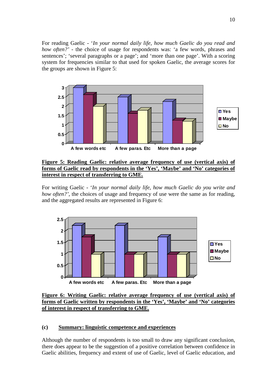For reading Gaelic - '*In your normal daily life, how much Gaelic do you read and how often?'* - the choice of usage for respondents was: 'a few words, phrases and sentences'; 'several paragraphs or a page'; and 'more than one page'. With a scoring system for frequencies similar to that used for spoken Gaelic, the average scores for the groups are shown in Figure 5:



**Figure 5: Reading Gaelic: relative average frequency of use (vertical axis) of forms of Gaelic read by respondents in the 'Yes', 'Maybe' and 'No' categories of interest in respect of transferring to GME.**

For writing Gaelic - '*In your normal daily life, how much Gaelic do you write and how often?'*, the choices of usage and frequency of use were the same as for reading, and the aggregated results are represented in Figure 6:



**Figure 6: Writing Gaelic: relative average frequency of use (vertical axis) of forms of Gaelic written by respondents in the 'Yes', 'Maybe' and 'No' categories of interest in respect of transferring to GME.**

#### **(c) Summary: linguistic competence and experiences**

Although the number of respondents is too small to draw any significant conclusion, there does appear to be the suggestion of a positive correlation between confidence in Gaelic abilities, frequency and extent of use of Gaelic, level of Gaelic education, and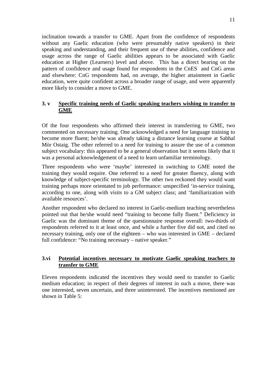inclination towards a transfer to GME. Apart from the confidence of respondents without any Gaelic education (who were presumably native speakers) in their speaking and understanding, and their frequent use of these abilities, confidence and usage across the range of Gaelic abilities appears to be associated with Gaelic education at Higher (Learners) level and above. This has a direct bearing on the pattern of confidence and usage found for respondents in the CnES and CnG areas and elsewhere: CnG respondents had, on average, the higher attainment in Gaelic education, were quite confident across a broader range of usage, and were apparently more likely to consider a move to GME.

#### **3. v Specific training needs of Gaelic speaking teachers wishing to transfer to GME**

Of the four respondents who affirmed their interest in transferring to GME, two commented on necessary training. One acknowledged a need for language training to become more fluent; he/she was already taking a distance learning course at Sabhal Mòr Ostaig. The other referred to a need for training to assure the use of a common subject vocabulary: this appeared to be a general observation but it seems likely that it was a personal acknowledgement of a need to learn unfamiliar terminology.

Three respondents who were 'maybe' interested in switching to GME noted the training they would require. One referred to a need for greater fluency, along with knowledge of subject-specific terminology. The other two reckoned they would want training perhaps more orientated to job performance: unspecified 'in-service training, according to one, along with visits to a GM subject class; and 'familiarization with available resources'.

Another respondent who declared no interest in Gaelic-medium teaching nevertheless pointed out that he/she would need "training to become fully fluent." Deficiency in Gaelic was the dominant theme of the questionnaire response overall: two-thirds of respondents referred to it at least once, and while a further five did not, and cited no necessary training, only one of the eighteen – who was interested in GME – declared full confidence: "No training necessary – native speaker."

#### **3.vi Potential incentives necessary to motivate Gaelic speaking teachers to transfer to GME**

Eleven respondents indicated the incentives they would need to transfer to Gaelic medium education; in respect of their degrees of interest in such a move, there was one interested, seven uncertain, and three uninterested. The incentives mentioned are shown in Table 5: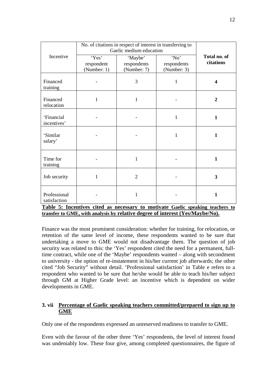|                              | No. of citations in respect of interest in transferring to<br>Gaelic medium education |                                       |                                    |                           |
|------------------------------|---------------------------------------------------------------------------------------|---------------------------------------|------------------------------------|---------------------------|
| Incentive                    | 'Yes'<br>respondent<br>(Number: 1)                                                    | 'Maybe'<br>respondents<br>(Number: 7) | 'No'<br>respondents<br>(Number: 3) | Total no. of<br>citations |
| Financed<br>training         |                                                                                       | 3                                     | $\mathbf{1}$                       | 4                         |
| Financed<br>relocation       | $\mathbf{1}$                                                                          | $\mathbf{1}$                          |                                    | $\overline{2}$            |
| 'Financial<br>incentives'    |                                                                                       |                                       | $\mathbf{1}$                       | $\mathbf{1}$              |
| 'Similar<br>salary'          |                                                                                       |                                       | $\mathbf{1}$                       | $\mathbf{1}$              |
| Time for<br>training         |                                                                                       | 1                                     |                                    | $\mathbf{1}$              |
| Job security                 | $\mathbf{1}$                                                                          | $\overline{2}$                        |                                    | 3                         |
| Professional<br>satisfaction |                                                                                       | $\mathbf{1}$                          |                                    | $\mathbf{1}$              |
|                              | Table 5: Incentives cited as necessary to motivate Gaelic speaking teachers to        |                                       |                                    |                           |

**transfer to GME, with analysis by relative degree of interest (Yes/Maybe/No).**

Finance was the most prominent consideration: whether for training, for relocation, or retention of the same level of income, these respondents wanted to be sure that undertaking a move to GME would not disadvantage them. The question of job security was related to this: the 'Yes' respondent cited the need for a permanent, fulltime contract, while one of the 'Maybe' respondents wanted – along with secondment to university - the option of re-instatement in his/her current job afterwards; the other cited "Job Security" without detail. 'Professional satisfaction' in Table e refers to a respondent who wanted to be sure that he/she would be able to teach his/her subject through GM at Higher Grade level: an incentive which is dependent on wider developments in GME.

#### **3. vii Percentage of Gaelic speaking teachers committed/prepared to sign up to GME**

Only one of the respondents expressed an unreserved readiness to transfer to GME.

Even with the favour of the other three 'Yes' respondents, the level of interest found was undeniably low. These four give, among completed questionnaires, the figure of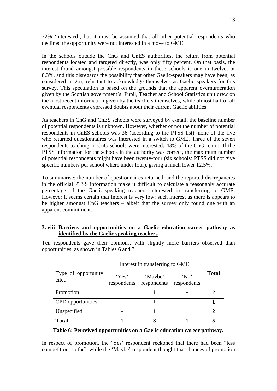22% 'interested', but it must be assumed that all other potential respondents who declined the opportunity were not interested in a move to GME.

In the schools outside the CnG and CnES authorities, the return from potential respondents located and targeted directly, was only fifty percent. On that basis, the interest found amongst possible respondents in these schools is one in twelve, or 8.3%, and this disregards the possibility that other Gaelic-speakers may have been, as considered in 2.ii, reluctant to acknowledge themselves as Gaelic speakers for this survey. This speculation is based on the grounds that the apparent overnumeration given by the Scottish government's Pupil, Teacher and School Statistics unit drew on the most recent information given by the teachers themselves, while almost half of all eventual respondents expressed doubts about their current Gaelic abilities.

As teachers in CnG and CnES schools were surveyed by e-mail, the baseline number of potential respondents is unknown. However, whether or not the number of potential respondents in CnES schools was 36 (according to the PTSS list), none of the five who returned questionnaires was interested in a switch to GME. Three of the seven respondents teaching in CnG schools were interested: 43% of the CnG return. If the PTSS information for the schools in the authority was correct, the maximum number of potential respondents might have been twenty-four (six schools: PTSS did not give specific numbers per school where under four), giving a much lower 12.5%.

To summarise: the number of questionnaires returned, and the reported discrepancies in the official PTSS information make it difficult to calculate a reasonably accurate percentage of the Gaelic-speaking teachers interested in transferring to GME. However it seems certain that interest is very low; such interest as there is appears to be higher amongst CnG teachers – albeit that the survey only found one with an apparent commitment.

#### **3. viii Barriers and opportunities on a Gaelic education career pathway as identified by the Gaelic speaking teachers**

Ten respondents gave their opinions, with slightly more barriers observed than opportunities, as shown in Tables 6 and 7.

|                                                                        | Interest in transferring to GME |                        |                     |              |  |
|------------------------------------------------------------------------|---------------------------------|------------------------|---------------------|--------------|--|
| Type of opportunity<br>cited                                           | 'Yes'<br>respondents            | 'Maybe'<br>respondents | 'No'<br>respondents | <b>Total</b> |  |
| Promotion                                                              |                                 |                        |                     | 2            |  |
| <b>CPD</b> opportunities                                               |                                 |                        |                     |              |  |
| Unspecified                                                            |                                 |                        |                     | $\gamma$     |  |
| <b>Total</b>                                                           |                                 | 3                      |                     | 5            |  |
| Table 6: Perceived opportunities on a Gaelic education career pathway. |                                 |                        |                     |              |  |

In respect of promotion, the 'Yes' respondent reckoned that there had been "less competition, so far", while the 'Maybe' respondent thought that chances of promotion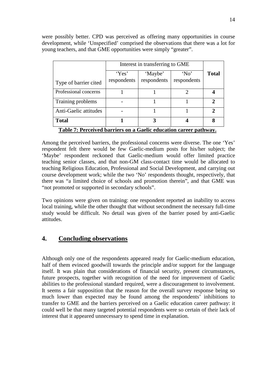were possibly better. CPD was perceived as offering many opportunities in course development, while 'Unspecified' comprised the observations that there was a lot for young teachers, and that GME opportunities were simply "greater".

|                                                                   | Interest in transferring to GME |                 |             |               |  |  |
|-------------------------------------------------------------------|---------------------------------|-----------------|-------------|---------------|--|--|
|                                                                   | 'Yes'                           | 'No'<br>'Maybe' |             |               |  |  |
| Type of barrier cited                                             | respondents                     | respondents     | respondents |               |  |  |
| Professional concerns                                             |                                 |                 |             |               |  |  |
| Training problems                                                 |                                 |                 |             | $\mathcal{D}$ |  |  |
| Anti-Gaelic attitudes                                             |                                 |                 |             | $\mathcal{D}$ |  |  |
| <b>Total</b>                                                      |                                 | 3               |             | 8             |  |  |
| Table 7: Perceived barriers on a Gaelic education career pathway. |                                 |                 |             |               |  |  |

Among the perceived barriers, the professional concerns were diverse. The one 'Yes' respondent felt there would be few Gaelic-medium posts for his/her subject; the 'Maybe' respondent reckoned that Gaelic-medium would offer limited practice teaching senior classes, and that non-GM class-contact time would be allocated to teaching Religious Education, Professional and Social Development, and carrying out course development work; while the two 'No' respondents thought, respectively, that there was "a limited choice of schools and promotion therein", and that GME was "not promoted or supported in secondary schools".

Two opinions were given on training: one respondent reported an inability to access local training, while the other thought that without secondment the necessary full-time study would be difficult. No detail was given of the barrier posed by anti-Gaelic attitudes.

## **4. Concluding observations**

Although only one of the respondents appeared ready for Gaelic-medium education, half of them evinced goodwill towards the principle and/or support for the language itself. It was plain that considerations of financial security, present circumstances, future prospects, together with recognition of the need for improvement of Gaelic abilities to the professional standard required, were a discouragement to involvement. It seems a fair supposition that the reason for the overall survey response being so much lower than expected may be found among the respondents' inhibitions to transfer to GME and the barriers perceived on a Gaelic education career pathway: it could well be that many targeted potential respondents were so certain of their lack of interest that it appeared unnecessary to spend time in explanation.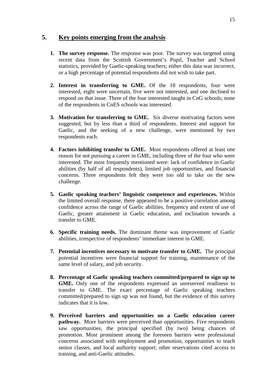### **5. Key points emerging from the analysis**

- **1. The survey response.** The response was poor. The survey was targeted using recent data from the Scottish Government's Pupil, Teacher and School statistics, provided by Gaelic-speaking teachers; either this data was incorrect, or a high percentage of potential respondents did not wish to take part.
- **2. Interest in transferring to GME.** Of the 18 respondents, four were interested, eight were uncertain, five were not interested, and one declined to respond on that issue. Three of the four interested taught in CnG schools; none of the respondents in CnES schools was interested.
- **3. Motivation for transferring to GME.** Six diverse motivating factors were suggested, but by less than a third of respondents. Interest and support for Gaelic, and the seeking of a new challenge, were mentioned by two respondents each.
- **4. Factors inhibiting transfer to GME.** Most respondents offered at least one reason for not pursuing a career in GME, including three of the four who were interested. The most frequently mentioned were: lack of confidence in Gaelic abilities (by half of all respondents), limited job opportunities, and financial concerns. Three respondents felt they were too old to take on the new challenge.
- **5. Gaelic speaking teachers' linguistic competence and experiences.** Within the limited overall response, there appeared to be a positive correlation among confidence across the range of Gaelic abilities, frequency and extent of use of Gaelic, greater attainment in Gaelic education, and inclination towards a transfer to GME.
- **6. Specific training needs.** The dominant theme was improvement of Gaelic abilities, irrespective of respondents' immediate interest in GME.
- **7. Potential incentives necessary to motivate transfer to GME.** The principal potential incentives were financial support for training, maintenance of the same level of salary, and job security.
- **8. Percentage of Gaelic speaking teachers committed/prepared to sign up to GME.** Only one of the respondents expressed an unreserved readiness to transfer to GME. The exact percentage of Gaelic speaking teachers committed/prepared to sign up was not found, but the evidence of this survey indicates that it is low.
- **9. Perceived barriers and opportunities on a Gaelic education career pathway.** More barriers were perceived than opportunities. Five respondents saw opportunities, the principal specified (by two) being chances of promotion. Most prominent among the foreseen barriers were professional concerns associated with employment and promotion, opportunities to teach senior classes, and local authority support; other reservations cited access to training, and anti-Gaelic attitudes.